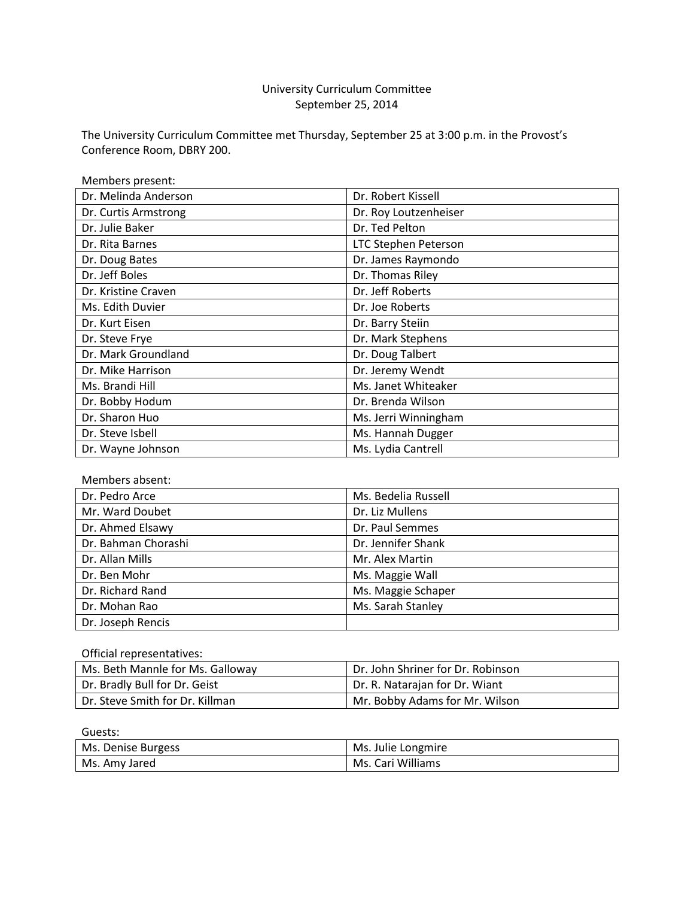# University Curriculum Committee September 25, 2014

The University Curriculum Committee met Thursday, September 25 at 3:00 p.m. in the Provost's Conference Room, DBRY 200.

| Members present:     |                             |
|----------------------|-----------------------------|
| Dr. Melinda Anderson | Dr. Robert Kissell          |
| Dr. Curtis Armstrong | Dr. Roy Loutzenheiser       |
| Dr. Julie Baker      | Dr. Ted Pelton              |
| Dr. Rita Barnes      | <b>LTC Stephen Peterson</b> |
| Dr. Doug Bates       | Dr. James Raymondo          |
| Dr. Jeff Boles       | Dr. Thomas Riley            |
| Dr. Kristine Craven  | Dr. Jeff Roberts            |
| Ms. Edith Duvier     | Dr. Joe Roberts             |
| Dr. Kurt Eisen       | Dr. Barry Steiin            |
| Dr. Steve Frye       | Dr. Mark Stephens           |
| Dr. Mark Groundland  | Dr. Doug Talbert            |
| Dr. Mike Harrison    | Dr. Jeremy Wendt            |
| Ms. Brandi Hill      | Ms. Janet Whiteaker         |
| Dr. Bobby Hodum      | Dr. Brenda Wilson           |
| Dr. Sharon Huo       | Ms. Jerri Winningham        |
| Dr. Steve Isbell     | Ms. Hannah Dugger           |
| Dr. Wayne Johnson    | Ms. Lydia Cantrell          |

## Members absent:

| Dr. Pedro Arce      | Ms. Bedelia Russell |
|---------------------|---------------------|
| Mr. Ward Doubet     | Dr. Liz Mullens     |
| Dr. Ahmed Elsawy    | Dr. Paul Semmes     |
| Dr. Bahman Chorashi | Dr. Jennifer Shank  |
| Dr. Allan Mills     | Mr. Alex Martin     |
| Dr. Ben Mohr        | Ms. Maggie Wall     |
| Dr. Richard Rand    | Ms. Maggie Schaper  |
| Dr. Mohan Rao       | Ms. Sarah Stanley   |
| Dr. Joseph Rencis   |                     |

#### Official representatives:

| Ms. Beth Mannle for Ms. Galloway             | Dr. John Shriner for Dr. Robinson |
|----------------------------------------------|-----------------------------------|
| Dr. Bradly Bull for Dr. Geist                | Dr. R. Natarajan for Dr. Wiant    |
| <sup>1</sup> Dr. Steve Smith for Dr. Killman | Mr. Bobby Adams for Mr. Wilson    |

Guests:

| Ms. Denise Burgess | Ms. Julie Longmire |
|--------------------|--------------------|
| Ms. Amy Jared      | Ms. Cari Williams  |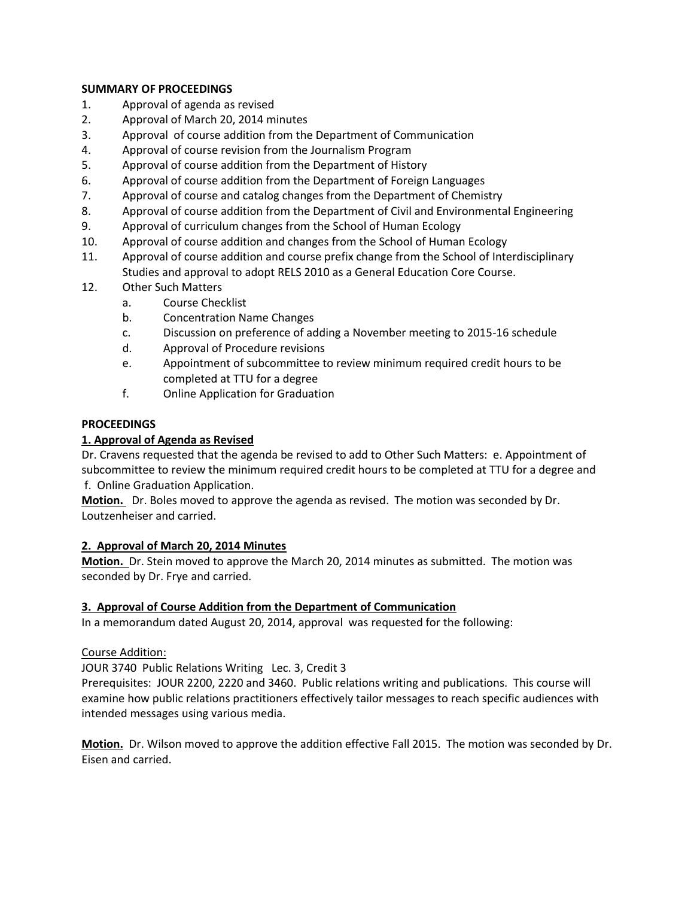## **SUMMARY OF PROCEEDINGS**

- 1. Approval of agenda as revised
- 2. Approval of March 20, 2014 minutes
- 3. Approval of course addition from the Department of Communication
- 4. Approval of course revision from the Journalism Program
- 5. Approval of course addition from the Department of History
- 6. Approval of course addition from the Department of Foreign Languages
- 7. Approval of course and catalog changes from the Department of Chemistry
- 8. Approval of course addition from the Department of Civil and Environmental Engineering
- 9. Approval of curriculum changes from the School of Human Ecology
- 10. Approval of course addition and changes from the School of Human Ecology
- 11. Approval of course addition and course prefix change from the School of Interdisciplinary Studies and approval to adopt RELS 2010 as a General Education Core Course.
- 12. Other Such Matters
	- a. Course Checklist
	- b. Concentration Name Changes
	- c. Discussion on preference of adding a November meeting to 2015-16 schedule
	- d. Approval of Procedure revisions
	- e. Appointment of subcommittee to review minimum required credit hours to be completed at TTU for a degree
	- f. Online Application for Graduation

## **PROCEEDINGS**

## **1. Approval of Agenda as Revised**

Dr. Cravens requested that the agenda be revised to add to Other Such Matters: e. Appointment of subcommittee to review the minimum required credit hours to be completed at TTU for a degree and f. Online Graduation Application.

**Motion.** Dr. Boles moved to approve the agenda as revised. The motion was seconded by Dr. Loutzenheiser and carried.

## **2. Approval of March 20, 2014 Minutes**

**Motion.** Dr. Stein moved to approve the March 20, 2014 minutes as submitted. The motion was seconded by Dr. Frye and carried.

## **3. Approval of Course Addition from the Department of Communication**

In a memorandum dated August 20, 2014, approval was requested for the following:

## Course Addition:

JOUR 3740 Public Relations Writing Lec. 3, Credit 3

Prerequisites: JOUR 2200, 2220 and 3460. Public relations writing and publications. This course will examine how public relations practitioners effectively tailor messages to reach specific audiences with intended messages using various media.

**Motion.** Dr. Wilson moved to approve the addition effective Fall 2015. The motion was seconded by Dr. Eisen and carried.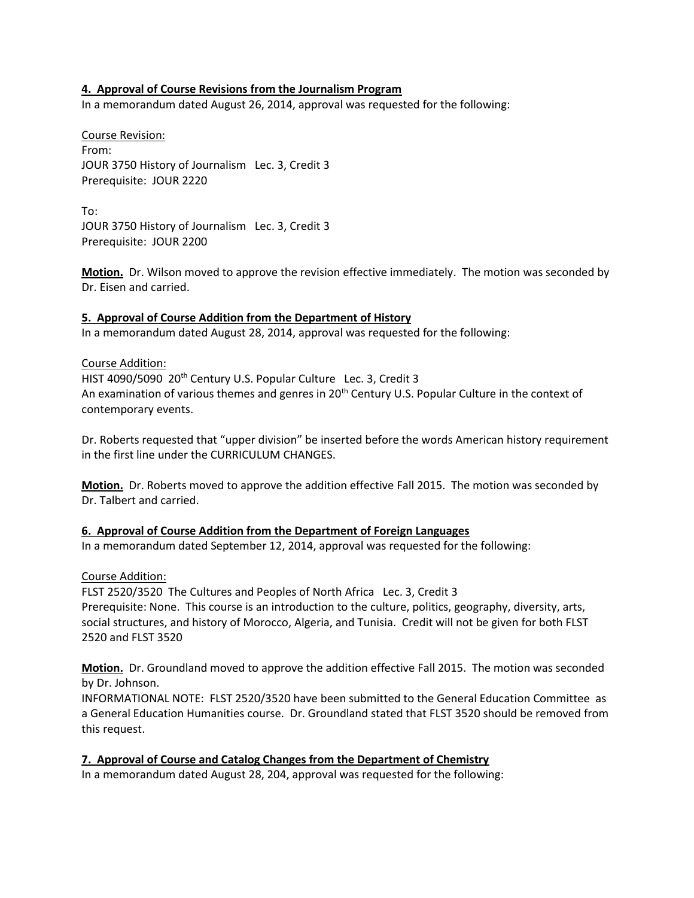## **4. Approval of Course Revisions from the Journalism Program**

In a memorandum dated August 26, 2014, approval was requested for the following:

Course Revision: From: JOUR 3750 History of Journalism Lec. 3, Credit 3 Prerequisite: JOUR 2220

To: JOUR 3750 History of Journalism Lec. 3, Credit 3 Prerequisite: JOUR 2200

**Motion.** Dr. Wilson moved to approve the revision effective immediately. The motion was seconded by Dr. Eisen and carried.

## **5. Approval of Course Addition from the Department of History**

In a memorandum dated August 28, 2014, approval was requested for the following:

#### Course Addition:

HIST 4090/5090 20<sup>th</sup> Century U.S. Popular Culture Lec. 3, Credit 3 An examination of various themes and genres in 20<sup>th</sup> Century U.S. Popular Culture in the context of contemporary events.

Dr. Roberts requested that "upper division" be inserted before the words American history requirement in the first line under the CURRICULUM CHANGES.

**Motion.** Dr. Roberts moved to approve the addition effective Fall 2015. The motion was seconded by Dr. Talbert and carried.

## **6. Approval of Course Addition from the Department of Foreign Languages**

In a memorandum dated September 12, 2014, approval was requested for the following:

Course Addition:

FLST 2520/3520 The Cultures and Peoples of North Africa Lec. 3, Credit 3 Prerequisite: None. This course is an introduction to the culture, politics, geography, diversity, arts, social structures, and history of Morocco, Algeria, and Tunisia. Credit will not be given for both FLST 2520 and FLST 3520

**Motion.** Dr. Groundland moved to approve the addition effective Fall 2015. The motion was seconded by Dr. Johnson.

INFORMATIONAL NOTE: FLST 2520/3520 have been submitted to the General Education Committee as a General Education Humanities course. Dr. Groundland stated that FLST 3520 should be removed from this request.

**7. Approval of Course and Catalog Changes from the Department of Chemistry** In a memorandum dated August 28, 204, approval was requested for the following: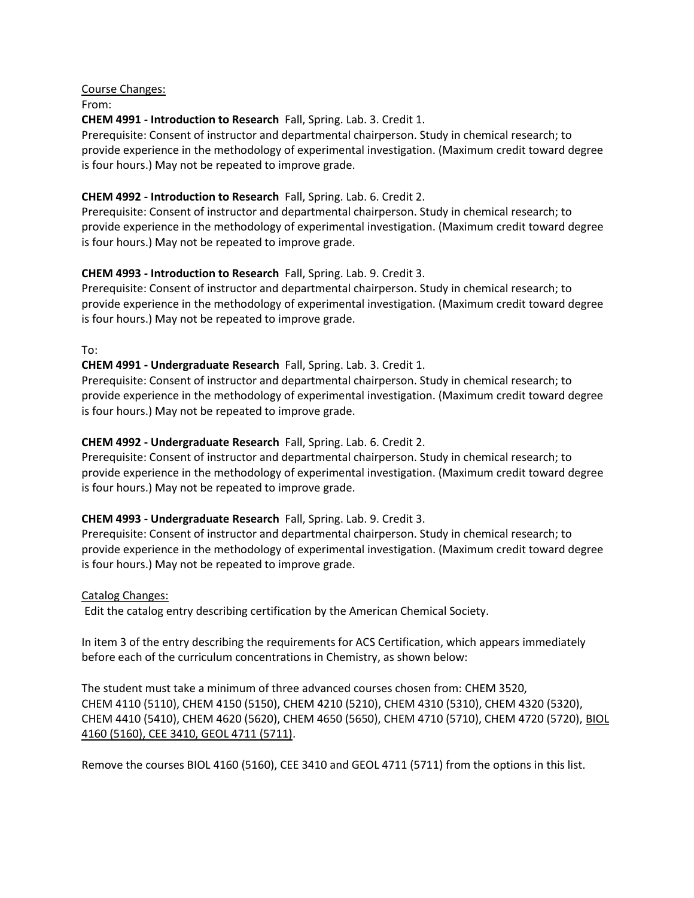Course Changes:

From:

**CHEM 4991 - Introduction to Research** Fall, Spring. Lab. 3. Credit 1.

Prerequisite: Consent of instructor and departmental chairperson. Study in chemical research; to provide experience in the methodology of experimental investigation. (Maximum credit toward degree is four hours.) May not be repeated to improve grade.

# **CHEM 4992 - Introduction to Research** Fall, Spring. Lab. 6. Credit 2.

Prerequisite: Consent of instructor and departmental chairperson. Study in chemical research; to provide experience in the methodology of experimental investigation. (Maximum credit toward degree is four hours.) May not be repeated to improve grade.

# **CHEM 4993 - Introduction to Research** Fall, Spring. Lab. 9. Credit 3.

Prerequisite: Consent of instructor and departmental chairperson. Study in chemical research; to provide experience in the methodology of experimental investigation. (Maximum credit toward degree is four hours.) May not be repeated to improve grade.

To:

## **CHEM 4991 - Undergraduate Research** Fall, Spring. Lab. 3. Credit 1.

Prerequisite: Consent of instructor and departmental chairperson. Study in chemical research; to provide experience in the methodology of experimental investigation. (Maximum credit toward degree is four hours.) May not be repeated to improve grade.

# **CHEM 4992 - Undergraduate Research** Fall, Spring. Lab. 6. Credit 2.

Prerequisite: Consent of instructor and departmental chairperson. Study in chemical research; to provide experience in the methodology of experimental investigation. (Maximum credit toward degree is four hours.) May not be repeated to improve grade.

## **CHEM 4993 - Undergraduate Research** Fall, Spring. Lab. 9. Credit 3.

Prerequisite: Consent of instructor and departmental chairperson. Study in chemical research; to provide experience in the methodology of experimental investigation. (Maximum credit toward degree is four hours.) May not be repeated to improve grade.

## Catalog Changes:

Edit the catalog entry describing certification by the American Chemical Society.

In item 3 of the entry describing the requirements for ACS Certification, which appears immediately before each of the curriculum concentrations in Chemistry, as shown below:

The student must take a minimum of three advanced courses chosen from: CHEM 3520, CHEM 4110 (5110), CHEM 4150 (5150), CHEM 4210 (5210), CHEM 4310 (5310), CHEM 4320 (5320), CHEM 4410 (5410), CHEM 4620 (5620), CHEM 4650 (5650), CHEM 4710 (5710), CHEM 4720 (5720), BIOL 4160 (5160), CEE 3410, GEOL 4711 (5711).

Remove the courses BIOL 4160 (5160), CEE 3410 and GEOL 4711 (5711) from the options in this list.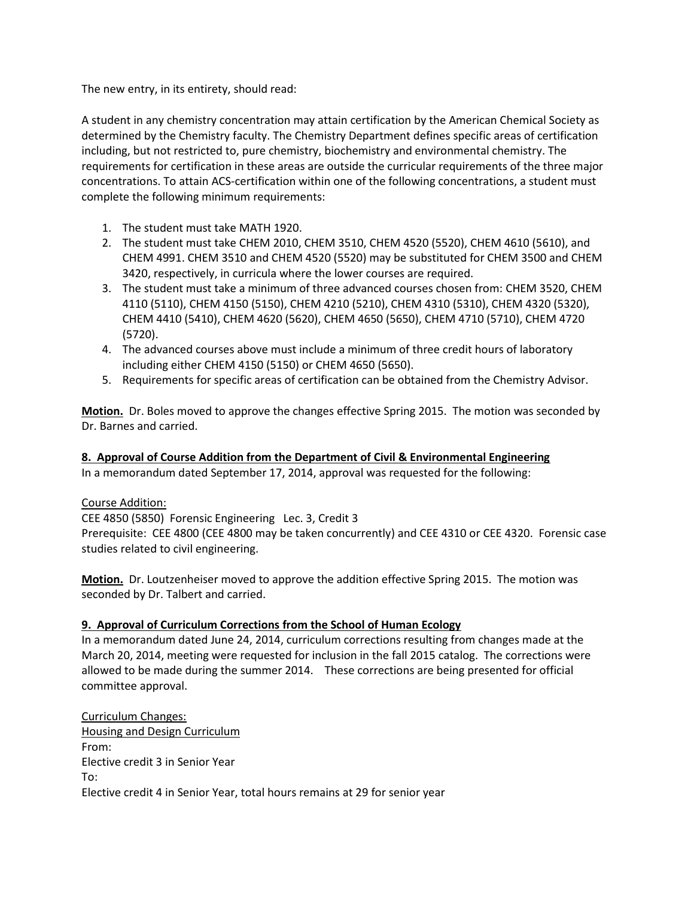The new entry, in its entirety, should read:

A student in any chemistry concentration may attain certification by the American Chemical Society as determined by the Chemistry faculty. The Chemistry Department defines specific areas of certification including, but not restricted to, pure chemistry, biochemistry and environmental chemistry. The requirements for certification in these areas are outside the curricular requirements of the three major concentrations. To attain ACS-certification within one of the following concentrations, a student must complete the following minimum requirements:

- 1. The student must take MATH 1920.
- 2. The student must take CHEM 2010, CHEM 3510, CHEM 4520 (5520), CHEM 4610 (5610), and CHEM 4991. CHEM 3510 and CHEM 4520 (5520) may be substituted for CHEM 3500 and CHEM 3420, respectively, in curricula where the lower courses are required.
- 3. The student must take a minimum of three advanced courses chosen from: CHEM 3520, CHEM 4110 (5110), CHEM 4150 (5150), CHEM 4210 (5210), CHEM 4310 (5310), CHEM 4320 (5320), CHEM 4410 (5410), CHEM 4620 (5620), CHEM 4650 (5650), CHEM 4710 (5710), CHEM 4720 (5720).
- 4. The advanced courses above must include a minimum of three credit hours of laboratory including either CHEM 4150 (5150) or CHEM 4650 (5650).
- 5. Requirements for specific areas of certification can be obtained from the Chemistry Advisor.

**Motion.** Dr. Boles moved to approve the changes effective Spring 2015. The motion was seconded by Dr. Barnes and carried.

## **8. Approval of Course Addition from the Department of Civil & Environmental Engineering**

In a memorandum dated September 17, 2014, approval was requested for the following:

## Course Addition:

CEE 4850 (5850) Forensic Engineering Lec. 3, Credit 3 Prerequisite: CEE 4800 (CEE 4800 may be taken concurrently) and CEE 4310 or CEE 4320. Forensic case studies related to civil engineering.

**Motion.** Dr. Loutzenheiser moved to approve the addition effective Spring 2015. The motion was seconded by Dr. Talbert and carried.

## **9. Approval of Curriculum Corrections from the School of Human Ecology**

In a memorandum dated June 24, 2014, curriculum corrections resulting from changes made at the March 20, 2014, meeting were requested for inclusion in the fall 2015 catalog. The corrections were allowed to be made during the summer 2014. These corrections are being presented for official committee approval.

Curriculum Changes: Housing and Design Curriculum From: Elective credit 3 in Senior Year To: Elective credit 4 in Senior Year, total hours remains at 29 for senior year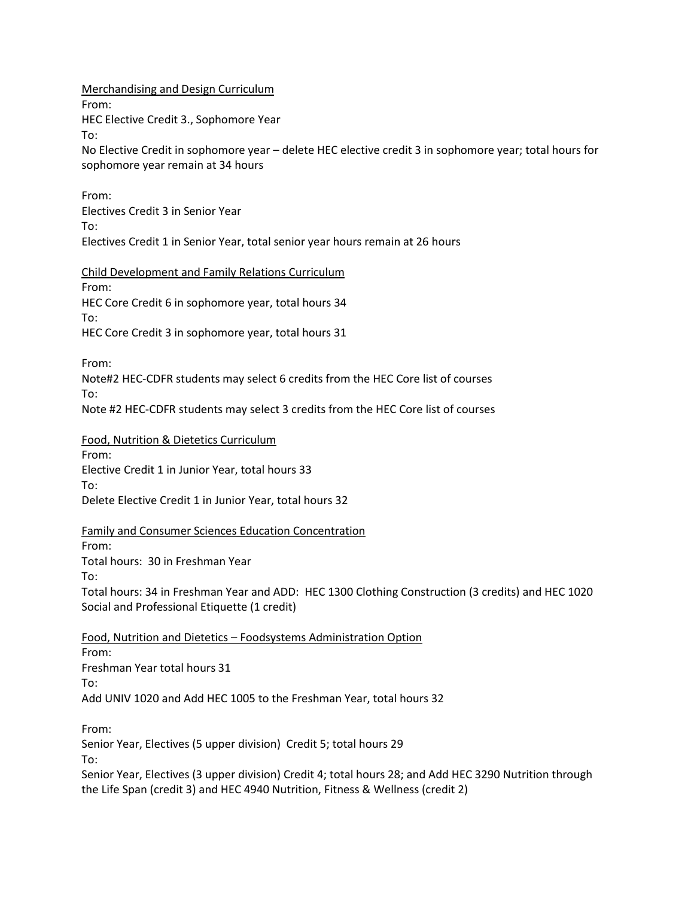Merchandising and Design Curriculum

From:

HEC Elective Credit 3., Sophomore Year

To:

No Elective Credit in sophomore year – delete HEC elective credit 3 in sophomore year; total hours for sophomore year remain at 34 hours

From: Electives Credit 3 in Senior Year To: Electives Credit 1 in Senior Year, total senior year hours remain at 26 hours

Child Development and Family Relations Curriculum From: HEC Core Credit 6 in sophomore year, total hours 34 To: HEC Core Credit 3 in sophomore year, total hours 31

From:

Note#2 HEC-CDFR students may select 6 credits from the HEC Core list of courses To:

Note #2 HEC-CDFR students may select 3 credits from the HEC Core list of courses

Food, Nutrition & Dietetics Curriculum From: Elective Credit 1 in Junior Year, total hours 33 To: Delete Elective Credit 1 in Junior Year, total hours 32

Family and Consumer Sciences Education Concentration From: Total hours: 30 in Freshman Year To: Total hours: 34 in Freshman Year and ADD: HEC 1300 Clothing Construction (3 credits) and HEC 1020 Social and Professional Etiquette (1 credit)

Food, Nutrition and Dietetics – Foodsystems Administration Option From: Freshman Year total hours 31 To: Add UNIV 1020 and Add HEC 1005 to the Freshman Year, total hours 32

From:

Senior Year, Electives (5 upper division) Credit 5; total hours 29

To:

Senior Year, Electives (3 upper division) Credit 4; total hours 28; and Add HEC 3290 Nutrition through the Life Span (credit 3) and HEC 4940 Nutrition, Fitness & Wellness (credit 2)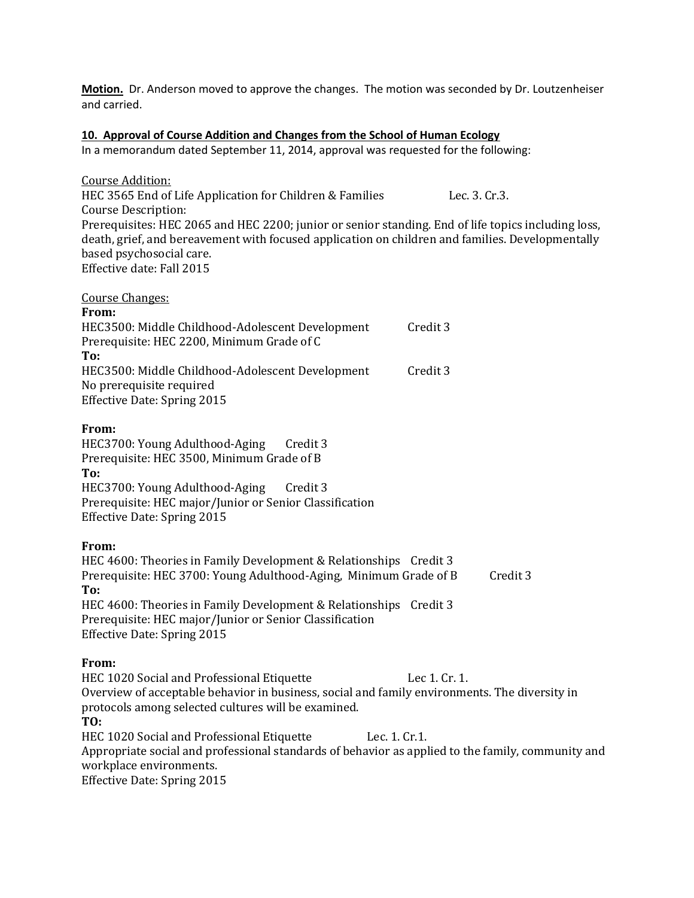**Motion.** Dr. Anderson moved to approve the changes. The motion was seconded by Dr. Loutzenheiser and carried.

#### **10. Approval of Course Addition and Changes from the School of Human Ecology**

In a memorandum dated September 11, 2014, approval was requested for the following:

Course Addition: HEC 3565 End of Life Application for Children & Families Lec. 3. Cr.3. Course Description: Prerequisites: HEC 2065 and HEC 2200; junior or senior standing. End of life topics including loss, death, grief, and bereavement with focused application on children and families. Developmentally based psychosocial care. Effective date: Fall 2015

| <b>Course Changes:</b>                           |          |  |
|--------------------------------------------------|----------|--|
| From:                                            |          |  |
| HEC3500: Middle Childhood-Adolescent Development | Credit 3 |  |
| Prerequisite: HEC 2200, Minimum Grade of C       |          |  |
| To:                                              |          |  |
| HEC3500: Middle Childhood-Adolescent Development | Credit 3 |  |
| No prerequisite required                         |          |  |
| <b>Effective Date: Spring 2015</b>               |          |  |
|                                                  |          |  |

## **From:**

HEC3700: Young Adulthood-Aging Credit 3 Prerequisite: HEC 3500, Minimum Grade of B **To:** HEC3700: Young Adulthood-Aging Credit 3 Prerequisite: HEC major/Junior or Senior Classification Effective Date: Spring 2015

## **From:**

HEC 4600: Theories in Family Development & Relationships Credit 3 Prerequisite: HEC 3700: Young Adulthood-Aging, Minimum Grade of B Credit 3 **To:** HEC 4600: Theories in Family Development & Relationships Credit 3 Prerequisite: HEC major/Junior or Senior Classification Effective Date: Spring 2015

## **From:**

HEC 1020 Social and Professional Etiquette Lec 1. Cr. 1. Overview of acceptable behavior in business, social and family environments. The diversity in protocols among selected cultures will be examined. **TO:**  HEC 1020 Social and Professional Etiquette Lec. 1. Cr.1. Appropriate social and professional standards of behavior as applied to the family, community and workplace environments. Effective Date: Spring 2015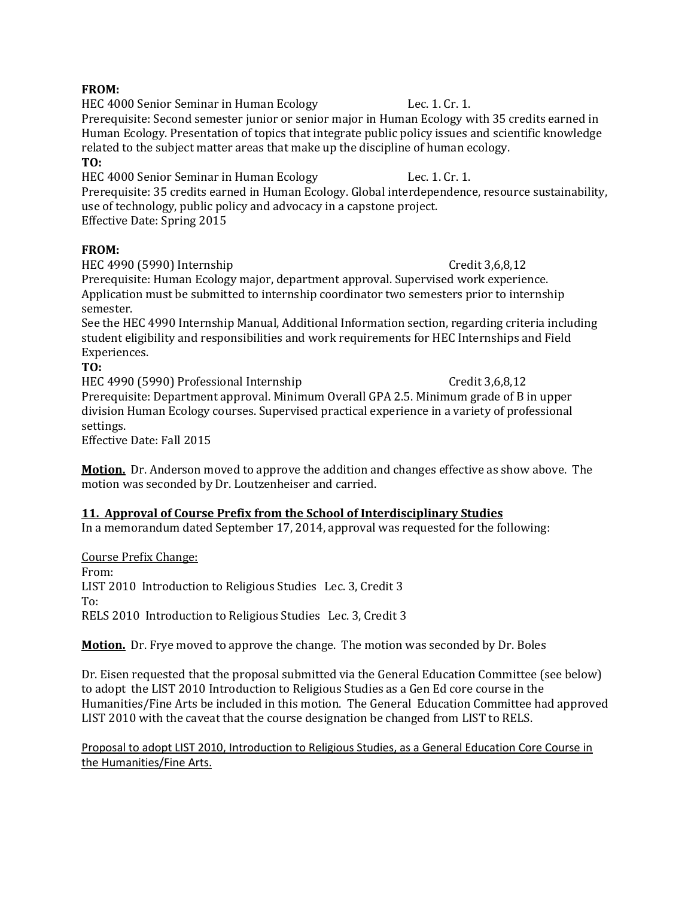## **FROM:**

HEC 4000 Senior Seminar in Human Ecology Lec. 1. Cr. 1. Prerequisite: Second semester junior or senior major in Human Ecology with 35 credits earned in Human Ecology. Presentation of topics that integrate public policy issues and scientific knowledge related to the subject matter areas that make up the discipline of human ecology. **TO:**

HEC 4000 Senior Seminar in Human Ecology Lec. 1. Cr. 1.

Prerequisite: 35 credits earned in Human Ecology. Global interdependence, resource sustainability, use of technology, public policy and advocacy in a capstone project. Effective Date: Spring 2015

# **FROM:**

HEC 4990 (5990) Internship Credit 3,6,8,12 Prerequisite: Human Ecology major, department approval. Supervised work experience. Application must be submitted to internship coordinator two semesters prior to internship semester.

See the HEC 4990 Internship Manual, Additional Information section, regarding criteria including student eligibility and responsibilities and work requirements for HEC Internships and Field Experiences.

**TO:**

HEC 4990 (5990) Professional Internship Credit 3,6,8,12

Prerequisite: Department approval. Minimum Overall GPA 2.5. Minimum grade of B in upper division Human Ecology courses. Supervised practical experience in a variety of professional settings.

Effective Date: Fall 2015

**Motion.** Dr. Anderson moved to approve the addition and changes effective as show above. The motion was seconded by Dr. Loutzenheiser and carried.

# **11. Approval of Course Prefix from the School of Interdisciplinary Studies**

In a memorandum dated September 17, 2014, approval was requested for the following:

Course Prefix Change:

From: LIST 2010 Introduction to Religious Studies Lec. 3, Credit 3 To: RELS 2010 Introduction to Religious Studies Lec. 3, Credit 3

**Motion.** Dr. Frye moved to approve the change. The motion was seconded by Dr. Boles

Dr. Eisen requested that the proposal submitted via the General Education Committee (see below) to adopt the LIST 2010 Introduction to Religious Studies as a Gen Ed core course in the Humanities/Fine Arts be included in this motion. The General Education Committee had approved LIST 2010 with the caveat that the course designation be changed from LIST to RELS.

Proposal to adopt LIST 2010, Introduction to Religious Studies, as a General Education Core Course in the Humanities/Fine Arts.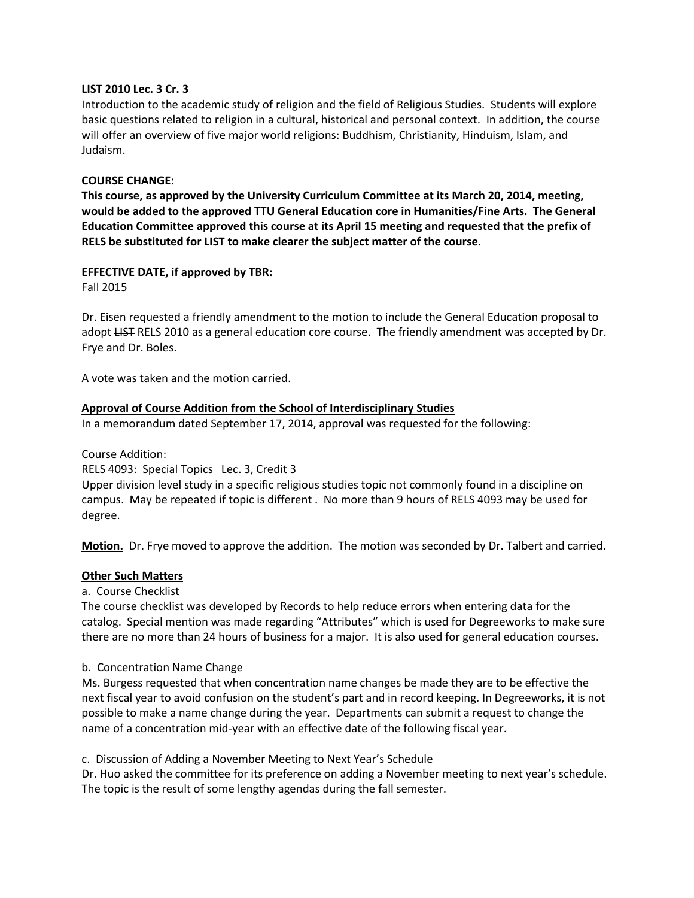#### **LIST 2010 Lec. 3 Cr. 3**

Introduction to the academic study of religion and the field of Religious Studies. Students will explore basic questions related to religion in a cultural, historical and personal context. In addition, the course will offer an overview of five major world religions: Buddhism, Christianity, Hinduism, Islam, and Judaism.

#### **COURSE CHANGE:**

**This course, as approved by the University Curriculum Committee at its March 20, 2014, meeting, would be added to the approved TTU General Education core in Humanities/Fine Arts. The General Education Committee approved this course at its April 15 meeting and requested that the prefix of RELS be substituted for LIST to make clearer the subject matter of the course.**

## **EFFECTIVE DATE, if approved by TBR:**

Fall 2015

Dr. Eisen requested a friendly amendment to the motion to include the General Education proposal to adopt LIST RELS 2010 as a general education core course. The friendly amendment was accepted by Dr. Frye and Dr. Boles.

A vote was taken and the motion carried.

#### **Approval of Course Addition from the School of Interdisciplinary Studies**

In a memorandum dated September 17, 2014, approval was requested for the following:

#### Course Addition:

RELS 4093: Special Topics Lec. 3, Credit 3

Upper division level study in a specific religious studies topic not commonly found in a discipline on campus. May be repeated if topic is different . No more than 9 hours of RELS 4093 may be used for degree.

**Motion.** Dr. Frye moved to approve the addition. The motion was seconded by Dr. Talbert and carried.

#### **Other Such Matters**

#### a. Course Checklist

The course checklist was developed by Records to help reduce errors when entering data for the catalog. Special mention was made regarding "Attributes" which is used for Degreeworks to make sure there are no more than 24 hours of business for a major. It is also used for general education courses.

#### b. Concentration Name Change

Ms. Burgess requested that when concentration name changes be made they are to be effective the next fiscal year to avoid confusion on the student's part and in record keeping. In Degreeworks, it is not possible to make a name change during the year. Departments can submit a request to change the name of a concentration mid-year with an effective date of the following fiscal year.

c. Discussion of Adding a November Meeting to Next Year's Schedule

Dr. Huo asked the committee for its preference on adding a November meeting to next year's schedule. The topic is the result of some lengthy agendas during the fall semester.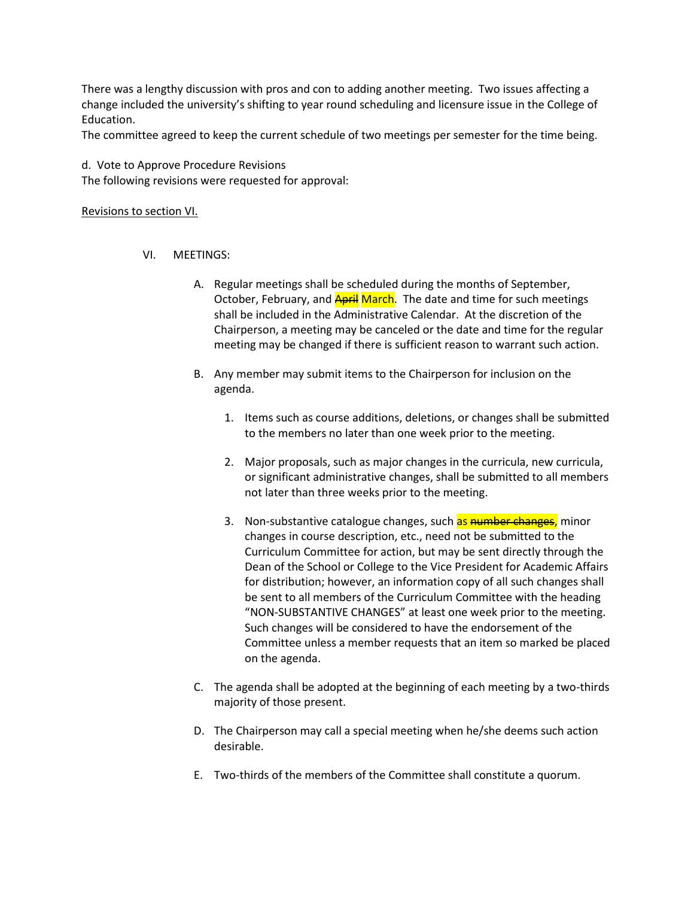There was a lengthy discussion with pros and con to adding another meeting. Two issues affecting a change included the university's shifting to year round scheduling and licensure issue in the College of Education.

The committee agreed to keep the current schedule of two meetings per semester for the time being.

d. Vote to Approve Procedure Revisions The following revisions were requested for approval:

#### Revisions to section VI.

#### VI. MEETINGS:

- A. Regular meetings shall be scheduled during the months of September, October, February, and **April March**. The date and time for such meetings shall be included in the Administrative Calendar. At the discretion of the Chairperson, a meeting may be canceled or the date and time for the regular meeting may be changed if there is sufficient reason to warrant such action.
- B. Any member may submit items to the Chairperson for inclusion on the agenda.
	- 1. Items such as course additions, deletions, or changes shall be submitted to the members no later than one week prior to the meeting.
	- 2. Major proposals, such as major changes in the curricula, new curricula, or significant administrative changes, shall be submitted to all members not later than three weeks prior to the meeting.
	- 3. Non-substantive catalogue changes, such as number changes, minor changes in course description, etc., need not be submitted to the Curriculum Committee for action, but may be sent directly through the Dean of the School or College to the Vice President for Academic Affairs for distribution; however, an information copy of all such changes shall be sent to all members of the Curriculum Committee with the heading "NON-SUBSTANTIVE CHANGES" at least one week prior to the meeting. Such changes will be considered to have the endorsement of the Committee unless a member requests that an item so marked be placed on the agenda.
- C. The agenda shall be adopted at the beginning of each meeting by a two-thirds majority of those present.
- D. The Chairperson may call a special meeting when he/she deems such action desirable.
- E. Two-thirds of the members of the Committee shall constitute a quorum.